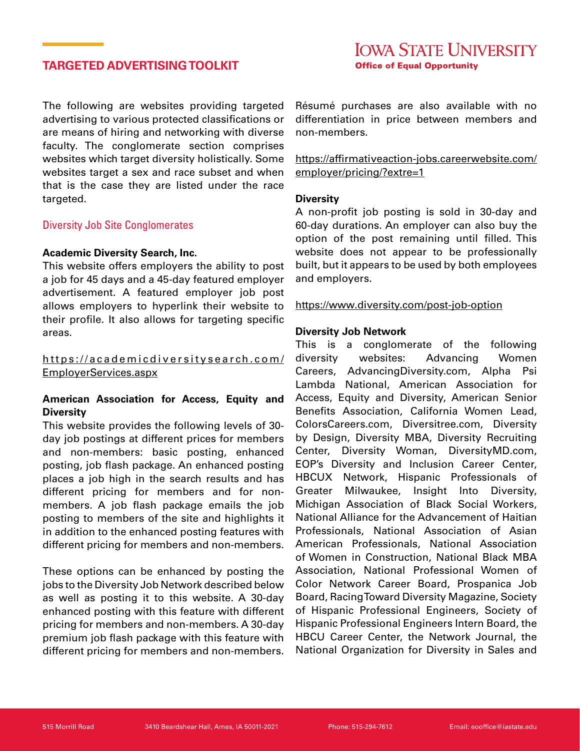# **TARGETED ADVERTISING TOOLKIT**

The following are websites providing targeted advertising to various protected classifications or are means of hiring and networking with diverse faculty. The conglomerate section comprises websites which target diversity holistically. Some websites target a sex and race subset and when that is the case they are listed under the race targeted.

#### Diversity Job Site Conglomerates

#### **Academic Diversity Search, Inc.**

This website offers employers the ability to post a job for 45 days and a 45-day featured employer advertisement. A featured employer job post allows employers to hyperlink their website to their profile. It also allows for targeting specific areas.

# [https://academicdiversitysearch.com/](https://academicdiversitysearch.com/EmployerServices.aspx) [EmployerServices.aspx](https://academicdiversitysearch.com/EmployerServices.aspx)

# **American Association for Access, Equity and Diversity**

This website provides the following levels of 30 day job postings at different prices for members and non-members: basic posting, enhanced posting, job flash package. An enhanced posting places a job high in the search results and has different pricing for members and for nonmembers. A job flash package emails the job posting to members of the site and highlights it in addition to the enhanced posting features with different pricing for members and non-members.

These options can be enhanced by posting the jobs to the Diversity Job Network described below as well as posting it to this website. A 30-day enhanced posting with this feature with different pricing for members and non-members. A 30-day premium job flash package with this feature with different pricing for members and non-members. Résumé purchases are also available with no differentiation in price between members and non-members.

https://affirmativeaction-jobs.careerwebsite.com/ employer/pricing/?extre=1

#### **Diversity**

A non-profit job posting is sold in 30-day and 60-day durations. An employer can also buy the option of the post remaining until filled. This website does not appear to be professionally built, but it appears to be used by both employees and employers.

#### https://www.diversity.com/post-job-option

#### **Diversity Job Network**

This is a conglomerate of the following diversity websites: Advancing Women Careers, AdvancingDiversity.com, Alpha Psi Lambda National, American Association for Access, Equity and Diversity, American Senior Benefits Association, California Women Lead, ColorsCareers.com, Diversitree.com, Diversity by Design, Diversity MBA, Diversity Recruiting Center, Diversity Woman, DiversityMD.com, EOP's Diversity and Inclusion Career Center, HBCUX Network, Hispanic Professionals of Greater Milwaukee, Insight Into Diversity, Michigan Association of Black Social Workers, National Alliance for the Advancement of Haitian Professionals, National Association of Asian American Professionals, National Association of Women in Construction, National Black MBA Association, National Professional Women of Color Network Career Board, Prospanica Job Board, Racing Toward Diversity Magazine, Society of Hispanic Professional Engineers, Society of Hispanic Professional Engineers Intern Board, the HBCU Career Center, the Network Journal, the National Organization for Diversity in Sales and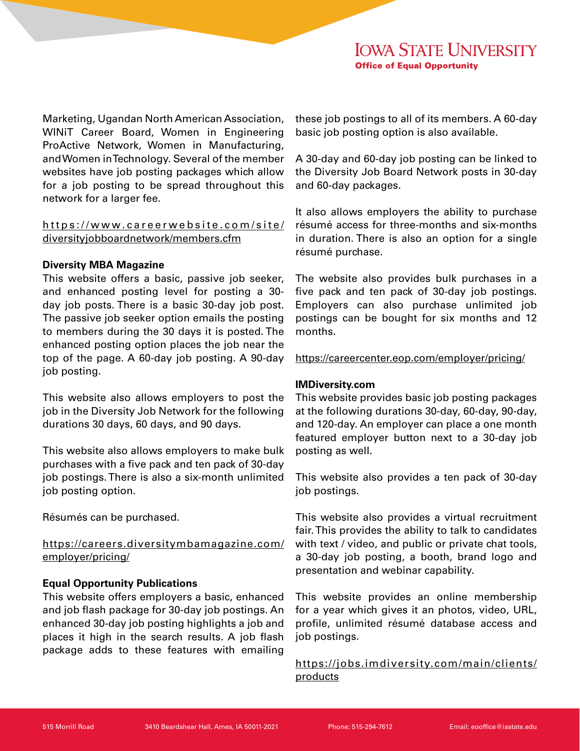Marketing, Ugandan North American Association, WINiT Career Board, Women in Engineering ProActive Network, Women in Manufacturing, and Women in Technology. Several of the member websites have job posting packages which allow for a job posting to be spread throughout this network for a larger fee.

# https://www.careerwebsite.com/site/ diversityjobboardnetwork/members.cfm

# **Diversity MBA Magazine**

This website offers a basic, passive job seeker, and enhanced posting level for posting a 30 day job posts. There is a basic 30-day job post. The passive job seeker option emails the posting to members during the 30 days it is posted. The enhanced posting option places the job near the top of the page. A 60-day job posting. A 90-day job posting.

This website also allows employers to post the job in the Diversity Job Network for the following durations 30 days, 60 days, and 90 days.

This website also allows employers to make bulk purchases with a five pack and ten pack of 30-day job postings. There is also a six-month unlimited job posting option.

Résumés can be purchased.

# https://careers.diversitymbamagazine.com/ employer/pricing/

# **Equal Opportunity Publications**

This website offers employers a basic, enhanced and job flash package for 30-day job postings. An enhanced 30-day job posting highlights a job and places it high in the search results. A job flash package adds to these features with emailing

these job postings to all of its members. A 60-day basic job posting option is also available.

A 30-day and 60-day job posting can be linked to the Diversity Job Board Network posts in 30-day and 60-day packages.

It also allows employers the ability to purchase résumé access for three-months and six-months in duration. There is also an option for a single résumé purchase.

The website also provides bulk purchases in a five pack and ten pack of 30-day job postings. Employers can also purchase unlimited job postings can be bought for six months and 12 months.

https://careercenter.eop.com/employer/pricing/

# **IMDiversity.com**

This website provides basic job posting packages at the following durations 30-day, 60-day, 90-day, and 120-day. An employer can place a one month featured employer button next to a 30-day job posting as well.

This website also provides a ten pack of 30-day job postings.

This website also provides a virtual recruitment fair. This provides the ability to talk to candidates with text / video, and public or private chat tools, a 30-day job posting, a booth, brand logo and presentation and webinar capability.

This website provides an online membership for a year which gives it an photos, video, URL, profile, unlimited résumé database access and job postings.

https://jobs.imdiversity.com/main/clients/ products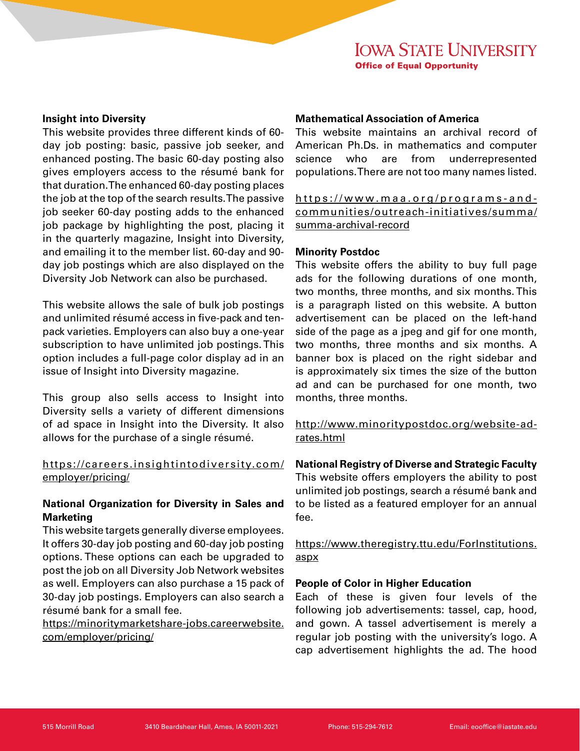#### **Insight into Diversity**

This website provides three different kinds of 60 day job posting: basic, passive job seeker, and enhanced posting. The basic 60-day posting also gives employers access to the résumé bank for that duration. The enhanced 60-day posting places the job at the top of the search results. The passive job seeker 60-day posting adds to the enhanced job package by highlighting the post, placing it in the quarterly magazine, Insight into Diversity, and emailing it to the member list. 60-day and 90 day job postings which are also displayed on the Diversity Job Network can also be purchased.

This website allows the sale of bulk job postings and unlimited résumé access in five-pack and tenpack varieties. Employers can also buy a one-year subscription to have unlimited job postings. This option includes a full-page color display ad in an issue of Insight into Diversity magazine.

This group also sells access to Insight into Diversity sells a variety of different dimensions of ad space in Insight into the Diversity. It also allows for the purchase of a single résumé.

# https://careers.insightintodiversity.com/ employer/pricing/

# **National Organization for Diversity in Sales and Marketing**

This website targets generally diverse employees. It offers 30-day job posting and 60-day job posting options. These options can each be upgraded to post the job on all Diversity Job Network websites as well. Employers can also purchase a 15 pack of 30-day job postings. Employers can also search a résumé bank for a small fee.

https://minoritymarketshare-jobs.careerwebsite. com/employer/pricing/

# **Mathematical Association of America**

This website maintains an archival record of American Ph.Ds. in mathematics and computer science who are from underrepresented populations. There are not too many names listed.

https://www.maa.org/programs-andcommunities/outreach-initiatives/summa/ summa-archival-record

#### **Minority Postdoc**

This website offers the ability to buy full page ads for the following durations of one month, two months, three months, and six months. This is a paragraph listed on this website. A button advertisement can be placed on the left-hand side of the page as a jpeg and gif for one month, two months, three months and six months. A banner box is placed on the right sidebar and is approximately six times the size of the button ad and can be purchased for one month, two months, three months.

http://www.minoritypostdoc.org/website-adrates.html

**National Registry of Diverse and Strategic Faculty**

This website offers employers the ability to post unlimited job postings, search a résumé bank and to be listed as a featured employer for an annual fee.

https://www.theregistry.ttu.edu/ForInstitutions. aspx

# **People of Color in Higher Education**

Each of these is given four levels of the following job advertisements: tassel, cap, hood, and gown. A tassel advertisement is merely a regular job posting with the university's logo. A cap advertisement highlights the ad. The hood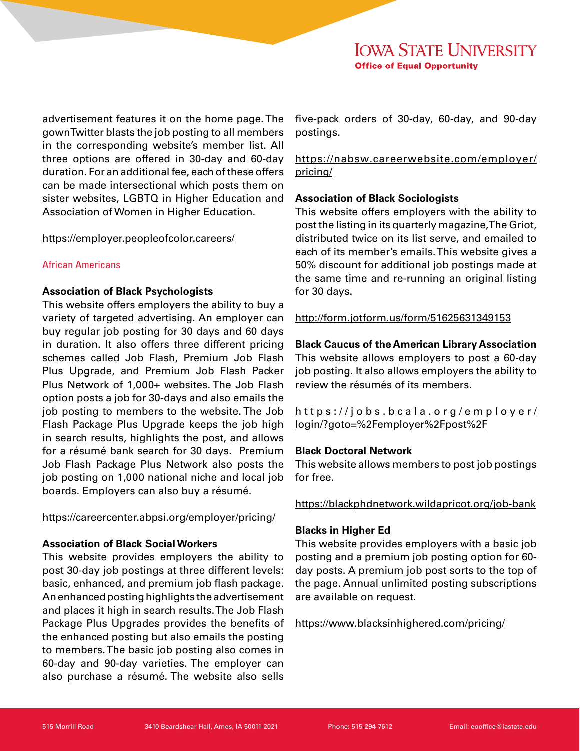advertisement features it on the home page. The gown Twitter blasts the job posting to all members in the corresponding website's member list. All three options are offered in 30-day and 60-day duration. For an additional fee, each of these offers can be made intersectional which posts them on sister websites, LGBTQ in Higher Education and Association of Women in Higher Education.

#### https://employer.peopleofcolor.careers/

# African Americans

# **Association of Black Psychologists**

This website offers employers the ability to buy a variety of targeted advertising. An employer can buy regular job posting for 30 days and 60 days in duration. It also offers three different pricing schemes called Job Flash, Premium Job Flash Plus Upgrade, and Premium Job Flash Packer Plus Network of 1,000+ websites. The Job Flash option posts a job for 30-days and also emails the job posting to members to the website. The Job Flash Package Plus Upgrade keeps the job high in search results, highlights the post, and allows for a résumé bank search for 30 days. Premium Job Flash Package Plus Network also posts the job posting on 1,000 national niche and local job boards. Employers can also buy a résumé.

# https://careercenter.abpsi.org/employer/pricing/

# **Association of Black Social Workers**

This website provides employers the ability to post 30-day job postings at three different levels: basic, enhanced, and premium job flash package. An enhanced posting highlights the advertisement and places it high in search results. The Job Flash Package Plus Upgrades provides the benefits of the enhanced posting but also emails the posting to members. The basic job posting also comes in 60-day and 90-day varieties. The employer can also purchase a résumé. The website also sells

five-pack orders of 30-day, 60-day, and 90-day postings.

https://nabsw.careerwebsite.com/employer/ pricing/

# **Association of Black Sociologists**

This website offers employers with the ability to post the listing in its quarterly magazine, The Griot, distributed twice on its list serve, and emailed to each of its member's emails. This website gives a 50% discount for additional job postings made at the same time and re-running an original listing for 30 days.

http://form.jotform.us/form/51625631349153

# **Black Caucus of the American Library Association**

This website allows employers to post a 60-day job posting. It also allows employers the ability to review the résumés of its members.

[https://jobs.bcala.org/employer/](https://jobs.bcala.org/employer/login/?goto=%2Femployer%2Fpost%2F) [login/?goto=%2Femployer%2Fpost%2F](https://jobs.bcala.org/employer/login/?goto=%2Femployer%2Fpost%2F)

# **Black Doctoral Network**

This website allows members to post job postings for free.

# https://blackphdnetwork.wildapricot.org/job-bank

# **Blacks in Higher Ed**

This website provides employers with a basic job posting and a premium job posting option for 60 day posts. A premium job post sorts to the top of the page. Annual unlimited posting subscriptions are available on request.

https://www.blacksinhighered.com/pricing/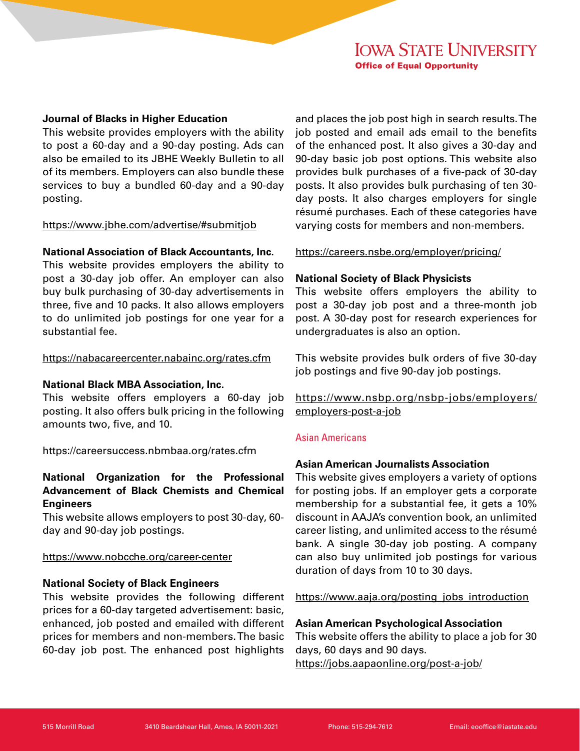# **Journal of Blacks in Higher Education**

This website provides employers with the ability to post a 60-day and a 90-day posting. Ads can also be emailed to its JBHE Weekly Bulletin to all of its members. Employers can also bundle these services to buy a bundled 60-day and a 90-day posting.

#### https://www.jbhe.com/advertise/#submitjob

#### **National Association of Black Accountants, Inc.**

This website provides employers the ability to post a 30-day job offer. An employer can also buy bulk purchasing of 30-day advertisements in three, five and 10 packs. It also allows employers to do unlimited job postings for one year for a substantial fee.

#### https://nabacareercenter.nabainc.org/rates.cfm

#### **National Black MBA Association, Inc.**

This website offers employers a 60-day job posting. It also offers bulk pricing in the following amounts two, five, and 10.

https://careersuccess.nbmbaa.org/rates.cfm

# **National Organization for the Professional Advancement of Black Chemists and Chemical Engineers**

This website allows employers to post 30-day, 60 day and 90-day job postings.

#### https://www.nobcche.org/career-center

# **National Society of Black Engineers**

This website provides the following different prices for a 60-day targeted advertisement: basic, enhanced, job posted and emailed with different prices for members and non-members. The basic 60-day job post. The enhanced post highlights

and places the job post high in search results. The job posted and email ads email to the benefits of the enhanced post. It also gives a 30-day and 90-day basic job post options. This website also provides bulk purchases of a five-pack of 30-day posts. It also provides bulk purchasing of ten 30 day posts. It also charges employers for single résumé purchases. Each of these categories have varying costs for members and non-members.

https://careers.nsbe.org/employer/pricing/

#### **National Society of Black Physicists**

This website offers employers the ability to post a 30-day job post and a three-month job post. A 30-day post for research experiences for undergraduates is also an option.

This website provides bulk orders of five 30-day job postings and five 90-day job postings.

https://www.nsbp.org/nsbp-jobs/employers/ employers-post-a-job

# Asian Americans

# **Asian American Journalists Association**

This website gives employers a variety of options for posting jobs. If an employer gets a corporate membership for a substantial fee, it gets a 10% discount in AAJA's convention book, an unlimited career listing, and unlimited access to the résumé bank. A single 30-day job posting. A company can also buy unlimited job postings for various duration of days from 10 to 30 days.

https://www.aaja.org/posting\_jobs\_introduction

#### **Asian American Psychological Association**

This website offers the ability to place a job for 30 days, 60 days and 90 days. https://jobs.aapaonline.org/post-a-job/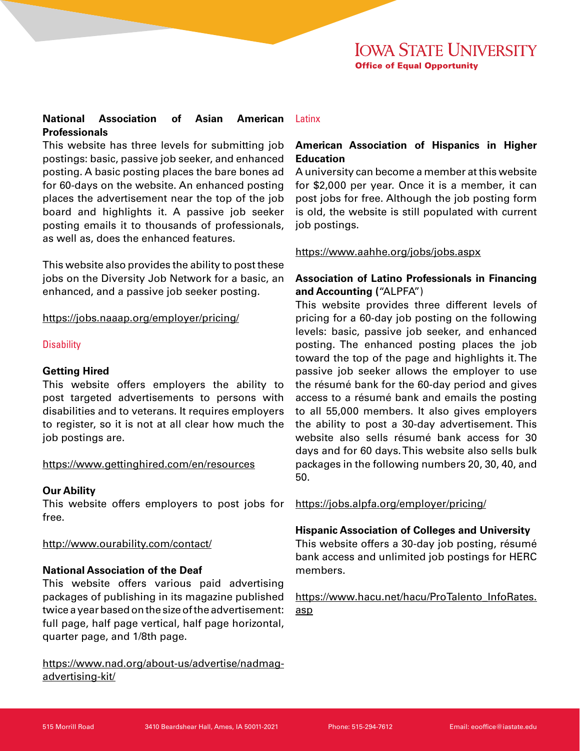# **National Association of Asian American Professionals**

This website has three levels for submitting job postings: basic, passive job seeker, and enhanced posting. A basic posting places the bare bones ad for 60-days on the website. An enhanced posting places the advertisement near the top of the job board and highlights it. A passive job seeker posting emails it to thousands of professionals, as well as, does the enhanced features.

This website also provides the ability to post these jobs on the Diversity Job Network for a basic, an enhanced, and a passive job seeker posting.

https://jobs.naaap.org/employer/pricing/

# **Disability**

# **Getting Hired**

This website offers employers the ability to post targeted advertisements to persons with disabilities and to veterans. It requires employers to register, so it is not at all clear how much the job postings are.

# https://www.gettinghired.com/en/resources

# **Our Ability**

This website offers employers to post jobs for free.

# http://www.ourability.com/contact/

# **National Association of the Deaf**

This website offers various paid advertising packages of publishing in its magazine published twice a year based on the size of the advertisement: full page, half page vertical, half page horizontal, quarter page, and 1/8th page.

https://www.nad.org/about-us/advertise/nadmagadvertising-kit/

# **Latinx**

# **American Association of Hispanics in Higher Education**

A university can become a member at this website for \$2,000 per year. Once it is a member, it can post jobs for free. Although the job posting form is old, the website is still populated with current job postings.

# https://www.aahhe.org/jobs/jobs.aspx

# **Association of Latino Professionals in Financing and Accounting (**"ALPFA")

This website provides three different levels of pricing for a 60-day job posting on the following levels: basic, passive job seeker, and enhanced posting. The enhanced posting places the job toward the top of the page and highlights it. The passive job seeker allows the employer to use the résumé bank for the 60-day period and gives access to a résumé bank and emails the posting to all 55,000 members. It also gives employers the ability to post a 30-day advertisement. This website also sells résumé bank access for 30 days and for 60 days. This website also sells bulk packages in the following numbers 20, 30, 40, and 50.

https://jobs.alpfa.org/employer/pricing/

# **Hispanic Association of Colleges and University**

This website offers a 30-day job posting, résumé bank access and unlimited job postings for HERC members.

https://www.hacu.net/hacu/ProTalento\_InfoRates. asp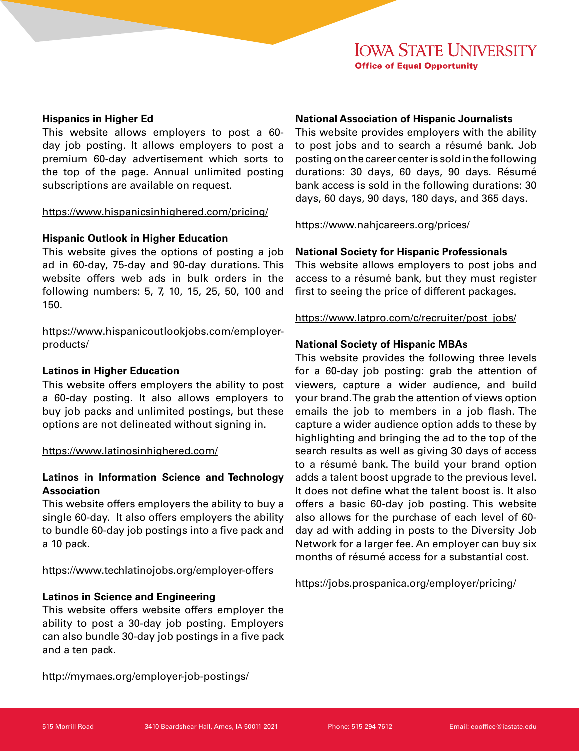## **Hispanics in Higher Ed**

This website allows employers to post a 60 day job posting. It allows employers to post a premium 60-day advertisement which sorts to the top of the page. Annual unlimited posting subscriptions are available on request.

#### https://www.hispanicsinhighered.com/pricing/

## **Hispanic Outlook in Higher Education**

This website gives the options of posting a job ad in 60-day, 75-day and 90-day durations. This website offers web ads in bulk orders in the following numbers: 5, 7, 10, 15, 25, 50, 100 and 150.

https://www.hispanicoutlookjobs.com/employerproducts/

#### **Latinos in Higher Education**

This website offers employers the ability to post a 60-day posting. It also allows employers to buy job packs and unlimited postings, but these options are not delineated without signing in.

#### https://www.latinosinhighered.com/

# **Latinos in Information Science and Technology Association**

This website offers employers the ability to buy a single 60-day. It also offers employers the ability to bundle 60-day job postings into a five pack and a 10 pack.

# https://www.techlatinojobs.org/employer-offers

#### **Latinos in Science and Engineering**

This website offers website offers employer the ability to post a 30-day job posting. Employers can also bundle 30-day job postings in a five pack and a ten pack.

#### http://mymaes.org/employer-job-postings/

# **National Association of Hispanic Journalists**

This website provides employers with the ability to post jobs and to search a résumé bank. Job posting on the career center is sold in the following durations: 30 days, 60 days, 90 days. Résumé bank access is sold in the following durations: 30 days, 60 days, 90 days, 180 days, and 365 days.

#### https://www.nahjcareers.org/prices/

#### **National Society for Hispanic Professionals**

This website allows employers to post jobs and access to a résumé bank, but they must register first to seeing the price of different packages.

https://www.latpro.com/c/recruiter/post\_jobs/

#### **National Society of Hispanic MBAs**

This website provides the following three levels for a 60-day job posting: grab the attention of viewers, capture a wider audience, and build your brand. The grab the attention of views option emails the job to members in a job flash. The capture a wider audience option adds to these by highlighting and bringing the ad to the top of the search results as well as giving 30 days of access to a résumé bank. The build your brand option adds a talent boost upgrade to the previous level. It does not define what the talent boost is. It also offers a basic 60-day job posting. This website also allows for the purchase of each level of 60 day ad with adding in posts to the Diversity Job Network for a larger fee. An employer can buy six months of résumé access for a substantial cost.

https://jobs.prospanica.org/employer/pricing/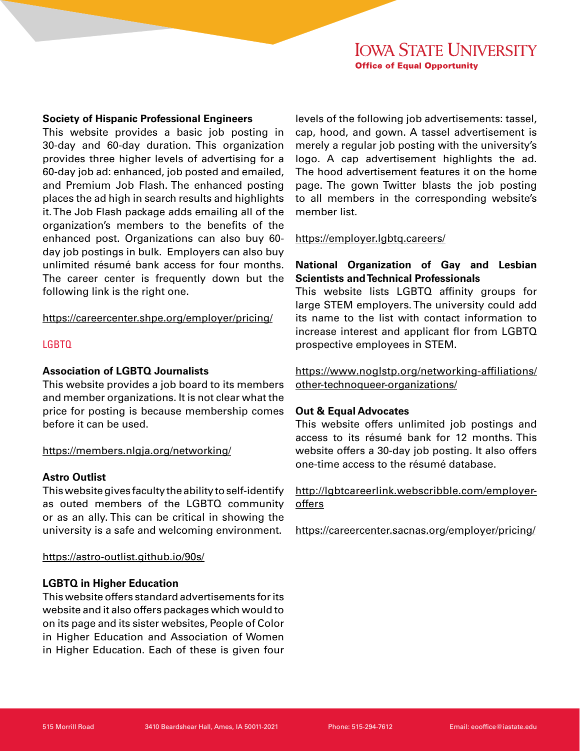#### **Society of Hispanic Professional Engineers**

This website provides a basic job posting in 30-day and 60-day duration. This organization provides three higher levels of advertising for a 60-day job ad: enhanced, job posted and emailed, and Premium Job Flash. The enhanced posting places the ad high in search results and highlights it. The Job Flash package adds emailing all of the organization's members to the benefits of the enhanced post. Organizations can also buy 60 day job postings in bulk. Employers can also buy unlimited résumé bank access for four months. The career center is frequently down but the following link is the right one.

https://careercenter.shpe.org/employer/pricing/

# LGBTQ

## **Association of LGBTQ Journalists**

This website provides a job board to its members and member organizations. It is not clear what the price for posting is because membership comes before it can be used.

#### https://members.nlgja.org/networking/

#### **Astro Outlist**

This website gives faculty the ability to self-identify as outed members of the LGBTQ community or as an ally. This can be critical in showing the university is a safe and welcoming environment.

#### https://astro-outlist.github.io/90s/

# **LGBTQ in Higher Education**

This website offers standard advertisements for its website and it also offers packages which would to on its page and its sister websites, People of Color in Higher Education and Association of Women in Higher Education. Each of these is given four

levels of the following job advertisements: tassel, cap, hood, and gown. A tassel advertisement is merely a regular job posting with the university's logo. A cap advertisement highlights the ad. The hood advertisement features it on the home page. The gown Twitter blasts the job posting to all members in the corresponding website's member list.

https://employer.lgbtq.careers/

# **National Organization of Gay and Lesbian Scientists and Technical Professionals**

This website lists LGBTQ affinity groups for large STEM employers. The university could add its name to the list with contact information to increase interest and applicant flor from LGBTQ prospective employees in STEM.

https://www.noglstp.org/networking-affiliations/ other-technoqueer-organizations/

#### **Out & Equal Advocates**

This website offers unlimited job postings and access to its résumé bank for 12 months. This website offers a 30-day job posting. It also offers one-time access to the résumé database.

http://lgbtcareerlink.webscribble.com/employeroffers

https://careercenter.sacnas.org/employer/pricing/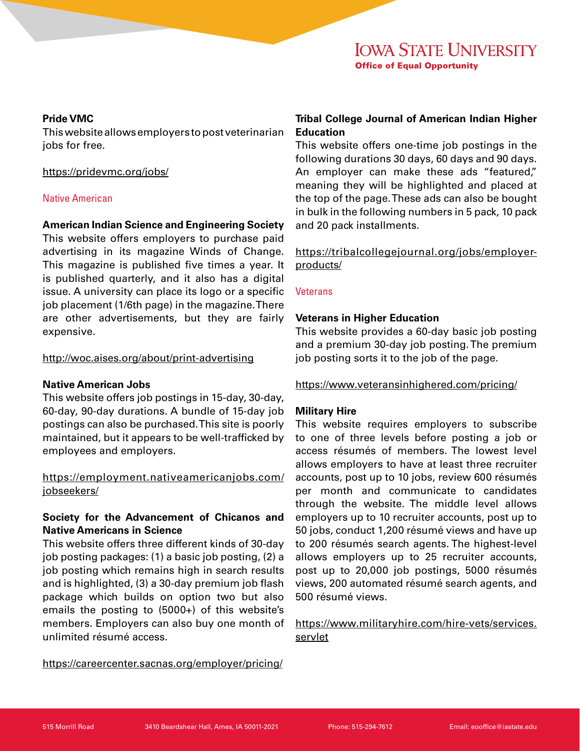# **IOWA STATE UNIVERSITY Office of Equal Opportunity**

#### **Pride VMC**

This website allows employers to post veterinarian jobs for free.

## <https://pridevmc.org/jobs/>

# Native American

# **American Indian Science and Engineering Society**

This website offers employers to purchase paid advertising in its magazine Winds of Change. This magazine is published five times a year. It is published quarterly, and it also has a digital issue. A university can place its logo or a specific job placement (1/6th page) in the magazine. There are other advertisements, but they are fairly expensive.

#### http://woc.aises.org/about/print-advertising

# **Native American Jobs**

This website offers job postings in 15-day, 30-day, 60-day, 90-day durations. A bundle of 15-day job postings can also be purchased. This site is poorly maintained, but it appears to be well-trafficked by employees and employers.

# https://employment.nativeamericanjobs.com/ jobseekers/

# **Society for the Advancement of Chicanos and Native Americans in Science**

This website offers three different kinds of 30-day job posting packages: (1) a basic job posting, (2) a job posting which remains high in search results and is highlighted, (3) a 30-day premium job flash package which builds on option two but also emails the posting to (5000+) of this website's members. Employers can also buy one month of unlimited résumé access.

https://careercenter.sacnas.org/employer/pricing/

# **Tribal College Journal of American Indian Higher Education**

This website offers one-time job postings in the following durations 30 days, 60 days and 90 days. An employer can make these ads "featured," meaning they will be highlighted and placed at the top of the page. These ads can also be bought in bulk in the following numbers in 5 pack, 10 pack and 20 pack installments.

https://tribalcollegejournal.org/jobs/employerproducts/

#### **Veterans**

#### **Veterans in Higher Education**

This website provides a 60-day basic job posting and a premium 30-day job posting. The premium job posting sorts it to the job of the page.

https://www.veteransinhighered.com/pricing/

# **Military Hire**

This website requires employers to subscribe to one of three levels before posting a job or access résumés of members. The lowest level allows employers to have at least three recruiter accounts, post up to 10 jobs, review 600 résumés per month and communicate to candidates through the website. The middle level allows employers up to 10 recruiter accounts, post up to 50 jobs, conduct 1,200 résumé views and have up to 200 résumés search agents. The highest-level allows employers up to 25 recruiter accounts, post up to 20,000 job postings, 5000 résumés views, 200 automated résumé search agents, and 500 résumé views.

# https://www.militaryhire.com/hire-vets/services. servlet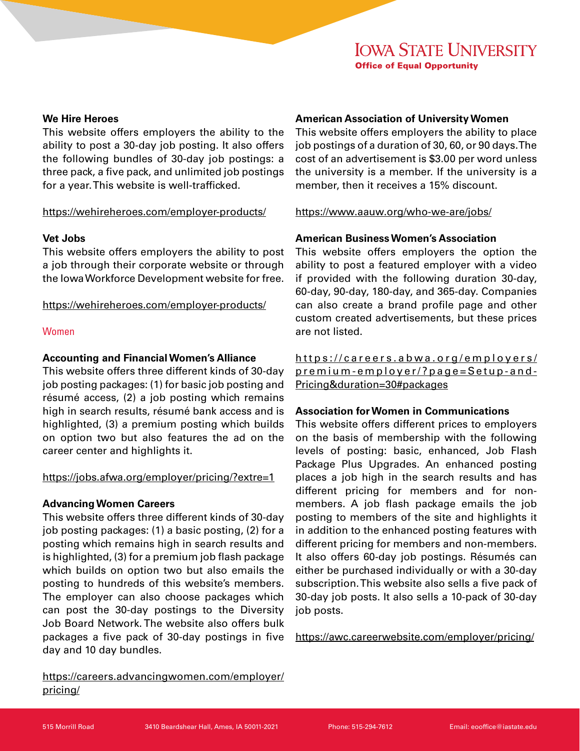# **IOWA STATE UNIVERSITY Office of Equal Opportunity**

#### **We Hire Heroes**

This website offers employers the ability to the ability to post a 30-day job posting. It also offers the following bundles of 30-day job postings: a three pack, a five pack, and unlimited job postings for a year. This website is well-trafficked.

#### https://wehireheroes.com/employer-products/

#### **Vet Jobs**

This website offers employers the ability to post a job through their corporate website or through the Iowa Workforce Development website for free.

https://wehireheroes.com/employer-products/

#### Women

#### **Accounting and Financial Women's Alliance**

This website offers three different kinds of 30-day job posting packages: (1) for basic job posting and résumé access, (2) a job posting which remains high in search results, résumé bank access and is highlighted, (3) a premium posting which builds on option two but also features the ad on the career center and highlights it.

#### https://jobs.afwa.org/employer/pricing/?extre=1

#### **Advancing Women Careers**

This website offers three different kinds of 30-day job posting packages: (1) a basic posting, (2) for a posting which remains high in search results and is highlighted, (3) for a premium job flash package which builds on option two but also emails the posting to hundreds of this website's members. The employer can also choose packages which can post the 30-day postings to the Diversity Job Board Network. The website also offers bulk packages a five pack of 30-day postings in five day and 10 day bundles.

https://careers.advancingwomen.com/employer/ pricing/

## **American Association of University Women**

This website offers employers the ability to place job postings of a duration of 30, 60, or 90 days. The cost of an advertisement is \$3.00 per word unless the university is a member. If the university is a member, then it receives a 15% discount.

#### https://www.aauw.org/who-we-are/jobs/

#### **American Business Women's Association**

This website offers employers the option the ability to post a featured employer with a video if provided with the following duration 30-day, 60-day, 90-day, 180-day, and 365-day. Companies can also create a brand profile page and other custom created advertisements, but these prices are not listed.

https://careers.abwa.org/employers/ premium-employer/?page=Setup-and-Pricing&duration=30#packages

#### **Association for Women in Communications**

This website offers different prices to employers on the basis of membership with the following levels of posting: basic, enhanced, Job Flash Package Plus Upgrades. An enhanced posting places a job high in the search results and has different pricing for members and for nonmembers. A job flash package emails the job posting to members of the site and highlights it in addition to the enhanced posting features with different pricing for members and non-members. It also offers 60-day job postings. Résumés can either be purchased individually or with a 30-day subscription. This website also sells a five pack of 30-day job posts. It also sells a 10-pack of 30-day job posts.

https://awc.careerwebsite.com/employer/pricing/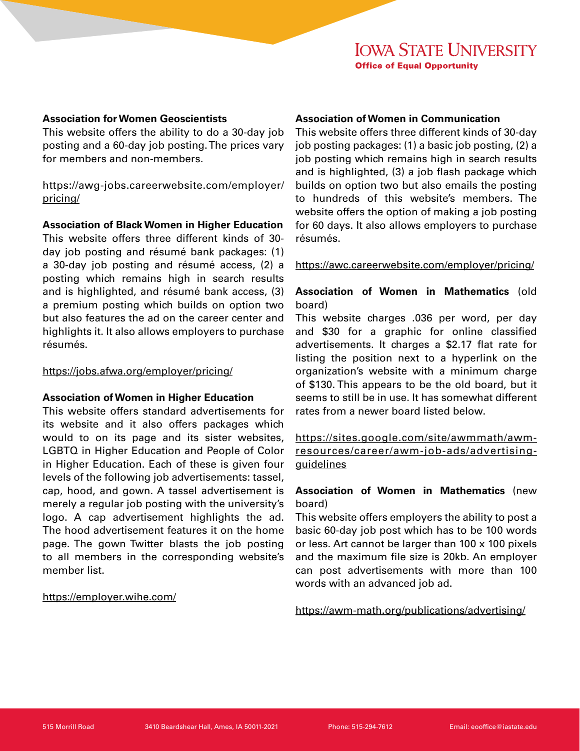#### **Association for Women Geoscientists**

This website offers the ability to do a 30-day job posting and a 60-day job posting. The prices vary for members and non-members.

https://awg-jobs.careerwebsite.com/employer/ pricing/

**Association of Black Women in Higher Education**

This website offers three different kinds of 30 day job posting and résumé bank packages: (1) a 30-day job posting and résumé access, (2) a posting which remains high in search results and is highlighted, and résumé bank access, (3) a premium posting which builds on option two but also features the ad on the career center and highlights it. It also allows employers to purchase résumés.

#### https://jobs.afwa.org/employer/pricing/

# **Association of Women in Higher Education**

This website offers standard advertisements for its website and it also offers packages which would to on its page and its sister websites, LGBTQ in Higher Education and People of Color in Higher Education. Each of these is given four levels of the following job advertisements: tassel, cap, hood, and gown. A tassel advertisement is merely a regular job posting with the university's logo. A cap advertisement highlights the ad. The hood advertisement features it on the home page. The gown Twitter blasts the job posting to all members in the corresponding website's member list.

# https://employer.wihe.com/

## **Association of Women in Communication**

This website offers three different kinds of 30-day job posting packages: (1) a basic job posting, (2) a job posting which remains high in search results and is highlighted, (3) a job flash package which builds on option two but also emails the posting to hundreds of this website's members. The website offers the option of making a job posting for 60 days. It also allows employers to purchase résumés.

https://awc.careerwebsite.com/employer/pricing/

# **Association of Women in Mathematics** (old board)

This website charges .036 per word, per day and \$30 for a graphic for online classified advertisements. It charges a \$2.17 flat rate for listing the position next to a hyperlink on the organization's website with a minimum charge of \$130. This appears to be the old board, but it seems to still be in use. It has somewhat different rates from a newer board listed below.

https://sites.google.com/site/awmmath/awmresources/career/awm-job-ads/advertisingguidelines

# **Association of Women in Mathematics** (new board)

This website offers employers the ability to post a basic 60-day job post which has to be 100 words or less. Art cannot be larger than 100 x 100 pixels and the maximum file size is 20kb. An employer can post advertisements with more than 100 words with an advanced job ad.

https://awm-math.org/publications/advertising/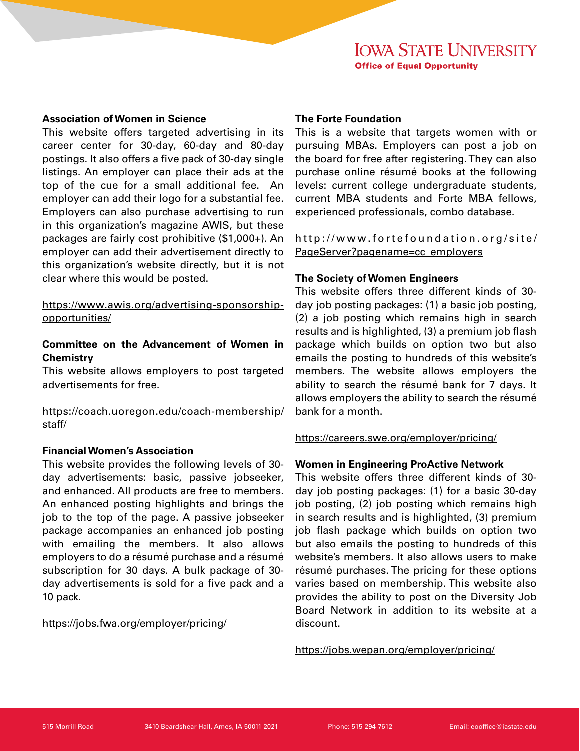#### **Association of Women in Science**

This website offers targeted advertising in its career center for 30-day, 60-day and 80-day postings. It also offers a five pack of 30-day single listings. An employer can place their ads at the top of the cue for a small additional fee. An employer can add their logo for a substantial fee. Employers can also purchase advertising to run in this organization's magazine AWIS, but these packages are fairly cost prohibitive (\$1,000+). An employer can add their advertisement directly to this organization's website directly, but it is not clear where this would be posted.

https://www.awis.org/advertising-sponsorshipopportunities/

# **Committee on the Advancement of Women in Chemistry**

This website allows employers to post targeted advertisements for free.

https://coach.uoregon.edu/coach-membership/ staff/

# **Financial Women's Association**

This website provides the following levels of 30 day advertisements: basic, passive jobseeker, and enhanced. All products are free to members. An enhanced posting highlights and brings the job to the top of the page. A passive jobseeker package accompanies an enhanced job posting with emailing the members. It also allows employers to do a résumé purchase and a résumé subscription for 30 days. A bulk package of 30 day advertisements is sold for a five pack and a 10 pack.

#### https://jobs.fwa.org/employer/pricing/

#### **The Forte Foundation**

This is a website that targets women with or pursuing MBAs. Employers can post a job on the board for free after registering. They can also purchase online résumé books at the following levels: current college undergraduate students, current MBA students and Forte MBA fellows, experienced professionals, combo database.

http://www.fortefoundation.org/site/ PageServer?pagename=cc\_employers

#### **The Society of Women Engineers**

This website offers three different kinds of 30 day job posting packages: (1) a basic job posting, (2) a job posting which remains high in search results and is highlighted, (3) a premium job flash package which builds on option two but also emails the posting to hundreds of this website's members. The website allows employers the ability to search the résumé bank for 7 days. It allows employers the ability to search the résumé bank for a month.

https://careers.swe.org/employer/pricing/

# **Women in Engineering ProActive Network**

This website offers three different kinds of 30 day job posting packages: (1) for a basic 30-day job posting, (2) job posting which remains high in search results and is highlighted, (3) premium job flash package which builds on option two but also emails the posting to hundreds of this website's members. It also allows users to make résumé purchases. The pricing for these options varies based on membership. This website also provides the ability to post on the Diversity Job Board Network in addition to its website at a discount.

https://jobs.wepan.org/employer/pricing/